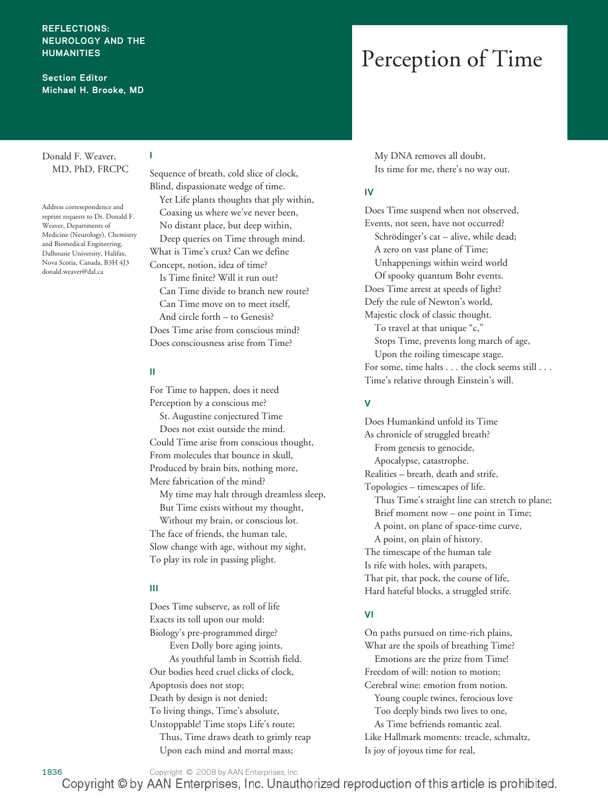#### **REFLECTIONS: NEUROLOGY AND THE HUMANITIES**

**Section Editor Michael H. Brooke, MD**

### Donald F. Weaver, MD, PhD, FRCPC

Address corresepondence and reprint requests to Dr. Donald F. Weaver, Departments of Medicine (Neurology), Chemistry and Biomedical Engineering, Dalhousie University, Halifax, Nova Scotia, Canada, B3H 4J3 donald.weaver@dal.ca

Sequence of breath, cold slice of clock, Blind, dispassionate wedge of time. Yet Life plants thoughts that ply within, Coaxing us where we've never been, No distant place, but deep within, Deep queries on Time through mind. What is Time's crux? Can we define Concept, notion, idea of time? Is Time finite? Will it run out? Can Time divide to branch new route? Can Time move on to meet itself, And circle forth – to Genesis? Does Time arise from conscious mind? Does consciousness arise from Time?

#### **II**

**I**

For Time to happen, does it need Perception by a conscious me?

St. Augustine conjectured Time Does not exist outside the mind. Could Time arise from conscious thought, From molecules that bounce in skull, Produced by brain bits, nothing more, Mere fabrication of the mind?

My time may halt through dreamless sleep, But Time exists without my thought,

Without my brain, or conscious lot. The face of friends, the human tale, Slow change with age, without my sight, To play its role in passing plight.

#### **III**

Does Time subserve, as roll of life Exacts its toll upon our mold: Biology's pre-programmed dirge? Even Dolly bore aging joints, As youthful lamb in Scottish field. Our bodies heed cruel clicks of clock, Apoptosis does not stop; Death by design is not denied; To living things, Time's absolute, Unstoppable! Time stops Life's route; Thus, Time draws death to grimly reap Upon each mind and mortal mass;

# Perception of Time

My DNA removes all doubt, Its time for me, there's no way out.

#### **IV**

Does Time suspend when not observed, Events, not seen, have not occurred? Schrödinger's cat – alive, while dead; A zero on vast plane of Time; Unhappenings within weird world Of spooky quantum Bohr events. Does Time arrest at speeds of light? Defy the rule of Newton's world, Majestic clock of classic thought. To travel at that unique "c," Stops Time, prevents long march of age, Upon the roiling timescape stage. For some, time halts . . . the clock seems still... Time's relative through Einstein's will.

# **V**

Does Humankind unfold its Time As chronicle of struggled breath? From genesis to genocide, Apocalypse, catastrophe. Realities – breath, death and strife, Topologies – timescapes of life. Thus Time's straight line can stretch to plane; Brief moment now – one point in Time; A point, on plane of space-time curve, A point, on plain of history. The timescape of the human tale Is rife with holes, with parapets, That pit, that pock, the course of life, Hard hateful blocks, a struggled strife.

#### **VI**

On paths pursued on time-rich plains, What are the spoils of breathing Time? Emotions are the prize from Time! Freedom of will: notion to motion; Cerebral wine: emotion from notion. Young couple twines, ferocious love Too deeply binds two lives to one, As Time befriends romantic zeal. Like Hallmark moments: treacle, schmaltz, Is joy of joyous time for real,

1836 Copyright © 2008 by AAN Enterprises, Inc.

Copyright © by AAN Enterprises, Inc. Unauthorized reproduction of this article is prohibited.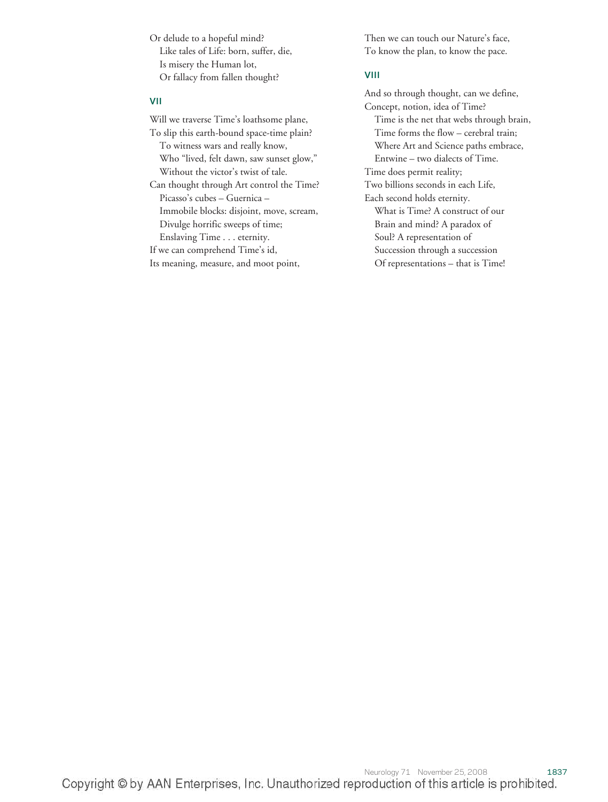Or delude to a hopeful mind? Like tales of Life: born, suffer, die, Is misery the Human lot, Or fallacy from fallen thought?

#### **VII**

Will we traverse Time's loathsome plane, To slip this earth-bound space-time plain? To witness wars and really know, Who "lived, felt dawn, saw sunset glow," Without the victor's twist of tale. Can thought through Art control the Time?

Picasso's cubes – Guernica – Immobile blocks: disjoint, move, scream, Divulge horrific sweeps of time; Enslaving Time... eternity.

If we can comprehend Time's id,

Its meaning, measure, and moot point,

Then we can touch our Nature's face, To know the plan, to know the pace.

#### **VIII**

And so through thought, can we define, Concept, notion, idea of Time? Time is the net that webs through brain, Time forms the flow – cerebral train; Where Art and Science paths embrace, Entwine – two dialects of Time. Time does permit reality; Two billions seconds in each Life, Each second holds eternity. What is Time? A construct of our Brain and mind? A paradox of Soul? A representation of Succession through a succession Of representations – that is Time!